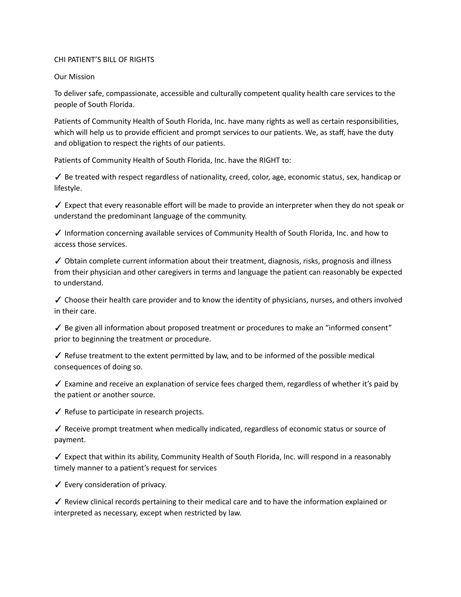## CHI PATIENT'S BILL OF RIGHTS

## Our Mission

To deliver safe, compassionate, accessible and culturally competent quality health care services to the people of South Florida.

Patients of Community Health of South Florida, Inc. have many rights as well as certain responsibilities, which will help us to provide efficient and prompt services to our patients. We, as staff, have the duty and obligation to respect the rights of our patients.

Patients of Community Health of South Florida, Inc. have the RIGHT to:

✓ Be treated with respect regardless of nationality, creed, color, age, economic status, sex, handicap or lifestyle.

✓ Expect that every reasonable effort will be made to provide an interpreter when they do not speak or understand the predominant language of the community.

✓ Information concerning available services of Community Health of South Florida, Inc. and how to access those services.

✓ Obtain complete current information about their treatment, diagnosis, risks, prognosis and illness from their physician and other caregivers in terms and language the patient can reasonably be expected to understand.

 $\checkmark$  Choose their health care provider and to know the identity of physicians, nurses, and others involved in their care.

 $\checkmark$  Be given all information about proposed treatment or procedures to make an "informed consent" prior to beginning the treatment or procedure.

 $\checkmark$  Refuse treatment to the extent permitted by law, and to be informed of the possible medical consequences of doing so.

✓ Examine and receive an explanation of service fees charged them, regardless of whether it's paid by the patient or another source.

✓ Refuse to participate in research projects.

✓ Receive prompt treatment when medically indicated, regardless of economic status or source of payment.

✓ Expect that within its ability, Community Health of South Florida, Inc. will respond in a reasonably timely manner to a patient's request for services

✓ Every consideration of privacy.

✓ Review clinical records pertaining to their medical care and to have the information explained or interpreted as necessary, except when restricted by law.